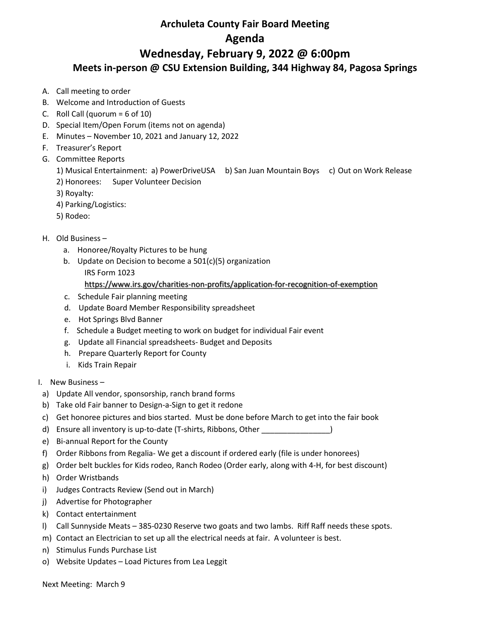## **Archuleta County Fair Board Meeting Agenda Wednesday, February 9, 2022 @ 6:00pm Meets in-person @ CSU Extension Building, 344 Highway 84, Pagosa Springs**

- A. Call meeting to order
- B. Welcome and Introduction of Guests
- C. Roll Call (quorum =  $6$  of 10)
- D. Special Item/Open Forum (items not on agenda)
- E. Minutes November 10, 2021 and January 12, 2022
- F. Treasurer's Report
- G. Committee Reports
	- 1) Musical Entertainment: a) PowerDriveUSA b) San Juan Mountain Boys c) Out on Work Release
	- 2) Honorees: Super Volunteer Decision
	- 3) Royalty:
	- 4) Parking/Logistics:
	- 5) Rodeo:

## H. Old Business –

- a. Honoree/Royalty Pictures to be hung
- b. Update on Decision to become a 501(c)(5) organization IRS Form 1023
	- <https://www.irs.gov/charities-non-profits/application-for-recognition-of-exemption>
- c. Schedule Fair planning meeting
- d. Update Board Member Responsibility spreadsheet
- e. Hot Springs Blvd Banner
- f. Schedule a Budget meeting to work on budget for individual Fair event
- g. Update all Financial spreadsheets- Budget and Deposits
- h. Prepare Quarterly Report for County
- i. Kids Train Repair
- I. New Business –
- a) Update All vendor, sponsorship, ranch brand forms
- b) Take old Fair banner to Design-a-Sign to get it redone
- c) Get honoree pictures and bios started. Must be done before March to get into the fair book
- d) Ensure all inventory is up-to-date (T-shirts, Ribbons, Other \_\_\_\_\_\_\_\_\_\_\_\_\_\_\_\_)
- e) Bi-annual Report for the County
- f) Order Ribbons from Regalia- We get a discount if ordered early (file is under honorees)
- g) Order belt buckles for Kids rodeo, Ranch Rodeo (Order early, along with 4-H, for best discount)
- h) Order Wristbands
- i) Judges Contracts Review (Send out in March)
- j) Advertise for Photographer
- k) Contact entertainment
- l) Call Sunnyside Meats 385-0230 Reserve two goats and two lambs. Riff Raff needs these spots.
- m) Contact an Electrician to set up all the electrical needs at fair. A volunteer is best.
- n) Stimulus Funds Purchase List
- o) Website Updates Load Pictures from Lea Leggit

Next Meeting: March 9